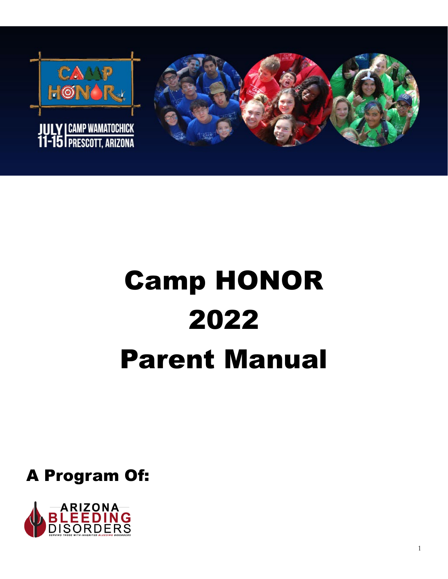



# Camp HONOR 2022 Parent Manual

A Program Of:

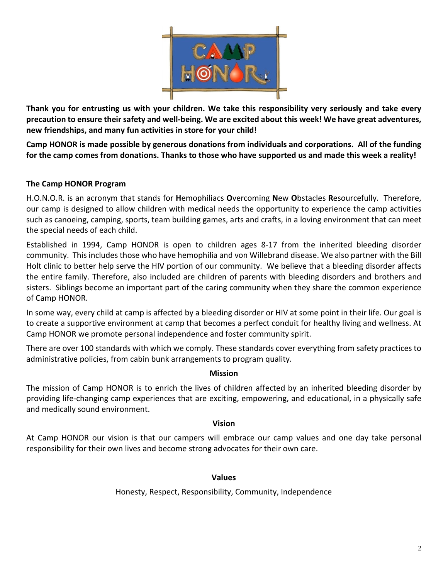

**Thank you for entrusting us with your children. We take this responsibility very seriously and take every precaution to ensure their safety and well-being. We are excited about this week! We have great adventures, new friendships, and many fun activities in store for your child!** 

**Camp HONOR is made possible by generous donations from individuals and corporations. All of the funding for the camp comes from donations. Thanks to those who have supported us and made this week a reality!**

# **The Camp HONOR Program**

H.O.N.O.R. is an acronym that stands for **H**emophiliacs **O**vercoming **N**ew **O**bstacles **R**esourcefully. Therefore, our camp is designed to allow children with medical needs the opportunity to experience the camp activities such as canoeing, camping, sports, team building games, arts and crafts, in a loving environment that can meet the special needs of each child.

Established in 1994, Camp HONOR is open to children ages 8-17 from the inherited bleeding disorder community. This includes those who have hemophilia and von Willebrand disease. We also partner with the Bill Holt clinic to better help serve the HIV portion of our community. We believe that a bleeding disorder affects the entire family. Therefore, also included are children of parents with bleeding disorders and brothers and sisters. Siblings become an important part of the caring community when they share the common experience of Camp HONOR.

In some way, every child at camp is affected by a bleeding disorder or HIV at some point in their life. Our goal is to create a supportive environment at camp that becomes a perfect conduit for healthy living and wellness. At Camp HONOR we promote personal independence and foster community spirit.

There are over 100 standards with which we comply. These standards cover everything from safety practices to administrative policies, from cabin bunk arrangements to program quality.

# **Mission**

The mission of Camp HONOR is to enrich the lives of children affected by an inherited bleeding disorder by providing life-changing camp experiences that are exciting, empowering, and educational, in a physically safe and medically sound environment.

# **Vision**

At Camp HONOR our vision is that our campers will embrace our camp values and one day take personal responsibility for their own lives and become strong advocates for their own care.

# **Values**

Honesty, Respect, Responsibility, Community, Independence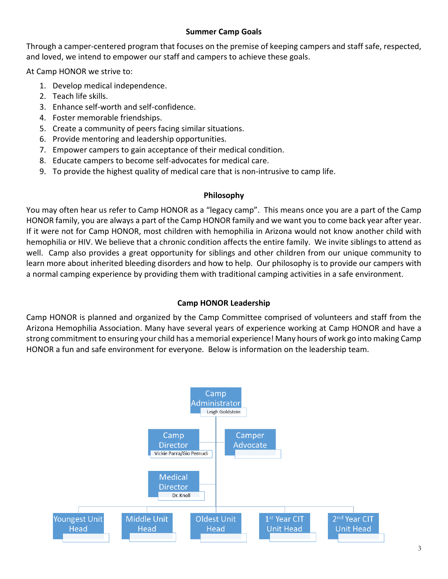# **Summer Camp Goals**

Through a camper-centered program that focuses on the premise of keeping campers and staff safe, respected, and loved, we intend to empower our staff and campers to achieve these goals.

At Camp HONOR we strive to:

- 1. Develop medical independence.
- 2. Teach life skills.
- 3. Enhance self-worth and self-confidence.
- 4. Foster memorable friendships.
- 5. Create a community of peers facing similar situations.
- 6. Provide mentoring and leadership opportunities.
- 7. Empower campers to gain acceptance of their medical condition.
- 8. Educate campers to become self-advocates for medical care.
- 9. To provide the highest quality of medical care that is non-intrusive to camp life.

# **Philosophy**

You may often hear us refer to Camp HONOR as a "legacy camp". This means once you are a part of the Camp HONOR family, you are always a part of the Camp HONOR family and we want you to come back year after year. If it were not for Camp HONOR, most children with hemophilia in Arizona would not know another child with hemophilia or HIV. We believe that a chronic condition affects the entire family. We invite siblings to attend as well. Camp also provides a great opportunity for siblings and other children from our unique community to learn more about inherited bleeding disorders and how to help. Our philosophy is to provide our campers with a normal camping experience by providing them with traditional camping activities in a safe environment.

# **Camp HONOR Leadership**

Camp HONOR is planned and organized by the Camp Committee comprised of volunteers and staff from the Arizona Hemophilia Association. Many have several years of experience working at Camp HONOR and have a strong commitment to ensuring your child has a memorial experience! Many hours of work go into making Camp HONOR a fun and safe environment for everyone. Below is information on the leadership team.

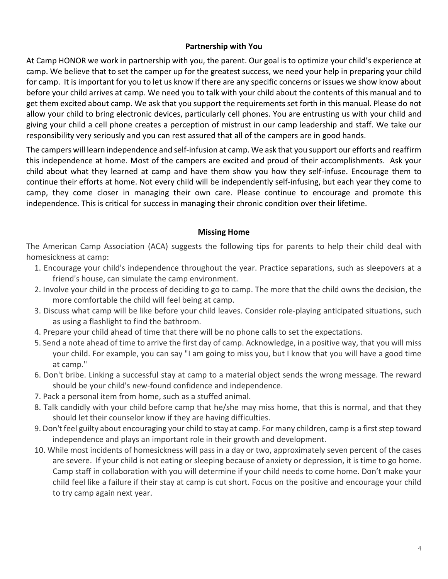# **Partnership with You**

At Camp HONOR we work in partnership with you, the parent. Our goal is to optimize your child's experience at camp. We believe that to set the camper up for the greatest success, we need your help in preparing your child for camp. It is important for you to let us know if there are any specific concerns or issues we show know about before your child arrives at camp. We need you to talk with your child about the contents of this manual and to get them excited about camp. We ask that you support the requirements set forth in this manual. Please do not allow your child to bring electronic devices, particularly cell phones. You are entrusting us with your child and giving your child a cell phone creates a perception of mistrust in our camp leadership and staff. We take our responsibility very seriously and you can rest assured that all of the campers are in good hands.

The campers will learn independence and self-infusion at camp. We ask that you support our efforts and reaffirm this independence at home. Most of the campers are excited and proud of their accomplishments. Ask your child about what they learned at camp and have them show you how they self-infuse. Encourage them to continue their efforts at home. Not every child will be independently self-infusing, but each year they come to camp, they come closer in managing their own care. Please continue to encourage and promote this independence. This is critical for success in managing their chronic condition over their lifetime.

# **Missing Home**

The American Camp Association (ACA) suggests the following tips for parents to help their child deal with homesickness at camp:

- 1. Encourage your child's independence throughout the year. Practice separations, such as sleepovers at a friend's house, can simulate the camp environment.
- 2. Involve your child in the process of deciding to go to camp. The more that the child owns the decision, the more comfortable the child will feel being at camp.
- 3. Discuss what camp will be like before your child leaves. Consider role-playing anticipated situations, such as using a flashlight to find the bathroom.
- 4. Prepare your child ahead of time that there will be no phone calls to set the expectations.
- 5. Send a note ahead of time to arrive the first day of camp. Acknowledge, in a positive way, that you will miss your child. For example, you can say "I am going to miss you, but I know that you will have a good time at camp."
- 6. Don't bribe. Linking a successful stay at camp to a material object sends the wrong message. The reward should be your child's new-found confidence and independence.
- 7. Pack a personal item from home, such as a stuffed animal.
- 8. Talk candidly with your child before camp that he/she may miss home, that this is normal, and that they should let their counselor know if they are having difficulties.
- 9. Don't feel guilty about encouraging your child to stay at camp. For many children, camp is a first step toward independence and plays an important role in their growth and development.
- 10. While most incidents of homesickness will pass in a day or two, approximately seven percent of the cases are severe. If your child is not eating or sleeping because of anxiety or depression, it is time to go home. Camp staff in collaboration with you will determine if your child needs to come home. Don't make your child feel like a failure if their stay at camp is cut short. Focus on the positive and encourage your child to try camp again next year.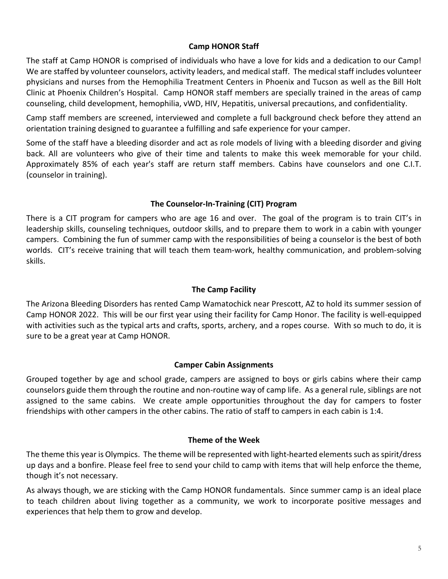# **Camp HONOR Staff**

The staff at Camp HONOR is comprised of individuals who have a love for kids and a dedication to our Camp! We are staffed by volunteer counselors, activity leaders, and medical staff. The medical staff includes volunteer physicians and nurses from the Hemophilia Treatment Centers in Phoenix and Tucson as well as the Bill Holt Clinic at Phoenix Children's Hospital. Camp HONOR staff members are specially trained in the areas of camp counseling, child development, hemophilia, vWD, HIV, Hepatitis, universal precautions, and confidentiality.

Camp staff members are screened, interviewed and complete a full background check before they attend an orientation training designed to guarantee a fulfilling and safe experience for your camper.

Some of the staff have a bleeding disorder and act as role models of living with a bleeding disorder and giving back. All are volunteers who give of their time and talents to make this week memorable for your child. Approximately 85% of each year's staff are return staff members. Cabins have counselors and one C.I.T. (counselor in training).

# **The Counselor-In-Training (CIT) Program**

There is a CIT program for campers who are age 16 and over. The goal of the program is to train CIT's in leadership skills, counseling techniques, outdoor skills, and to prepare them to work in a cabin with younger campers. Combining the fun of summer camp with the responsibilities of being a counselor is the best of both worlds. CIT's receive training that will teach them team-work, healthy communication, and problem-solving skills.

# **The Camp Facility**

The Arizona Bleeding Disorders has rented Camp Wamatochick near Prescott, AZ to hold its summer session of Camp HONOR 2022. This will be our first year using their facility for Camp Honor. The facility is well-equipped with activities such as the typical arts and crafts, sports, archery, and a ropes course. With so much to do, it is sure to be a great year at Camp HONOR.

# **Camper Cabin Assignments**

Grouped together by age and school grade, campers are assigned to boys or girls cabins where their camp counselors guide them through the routine and non-routine way of camp life. As a general rule, siblings are not assigned to the same cabins. We create ample opportunities throughout the day for campers to foster friendships with other campers in the other cabins. The ratio of staff to campers in each cabin is 1:4.

# **Theme of the Week**

The theme this year is Olympics. The theme will be represented with light-hearted elements such as spirit/dress up days and a bonfire. Please feel free to send your child to camp with items that will help enforce the theme, though it's not necessary.

As always though, we are sticking with the Camp HONOR fundamentals. Since summer camp is an ideal place to teach children about living together as a community, we work to incorporate positive messages and experiences that help them to grow and develop.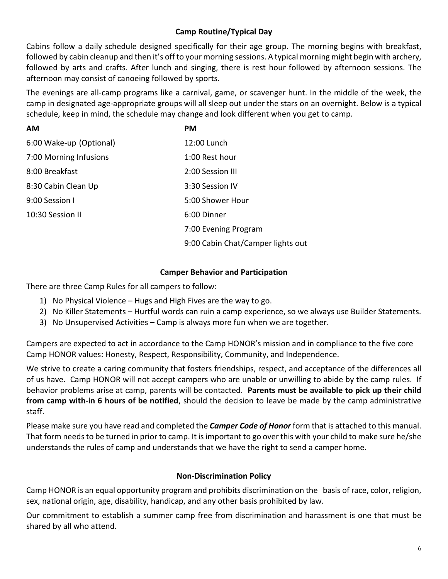# **Camp Routine/Typical Day**

Cabins follow a daily schedule designed specifically for their age group. The morning begins with breakfast, followed by cabin cleanup and then it's off to your morning sessions. A typical morning might begin with archery, followed by arts and crafts. After lunch and singing, there is rest hour followed by afternoon sessions. The afternoon may consist of canoeing followed by sports.

The evenings are all-camp programs like a carnival, game, or scavenger hunt. In the middle of the week, the camp in designated age-appropriate groups will all sleep out under the stars on an overnight. Below is a typical schedule, keep in mind, the schedule may change and look different when you get to camp.

| <b>AM</b>               | <b>PM</b>                         |
|-------------------------|-----------------------------------|
| 6:00 Wake-up (Optional) | 12:00 Lunch                       |
| 7:00 Morning Infusions  | 1:00 Rest hour                    |
| 8:00 Breakfast          | 2:00 Session III                  |
| 8:30 Cabin Clean Up     | 3:30 Session IV                   |
| 9:00 Session I          | 5:00 Shower Hour                  |
| 10:30 Session II        | 6:00 Dinner                       |
|                         | 7:00 Evening Program              |
|                         | 9:00 Cabin Chat/Camper lights out |

# **Camper Behavior and Participation**

There are three Camp Rules for all campers to follow:

- 1) No Physical Violence Hugs and High Fives are the way to go.
- 2) No Killer Statements Hurtful words can ruin a camp experience, so we always use Builder Statements.
- 3) No Unsupervised Activities Camp is always more fun when we are together.

Campers are expected to act in accordance to the Camp HONOR's mission and in compliance to the five core Camp HONOR values: Honesty, Respect, Responsibility, Community, and Independence.

We strive to create a caring community that fosters friendships, respect, and acceptance of the differences all of us have. Camp HONOR will not accept campers who are unable or unwilling to abide by the camp rules. If behavior problems arise at camp, parents will be contacted. **Parents must be available to pick up their child from camp with-in 6 hours of be notified**, should the decision to leave be made by the camp administrative staff.

Please make sure you have read and completed the *Camper Code of Honor* form that is attached to this manual. That form needs to be turned in prior to camp. It is important to go over this with your child to make sure he/she understands the rules of camp and understands that we have the right to send a camper home.

# **Non-Discrimination Policy**

Camp HONOR is an equal opportunity program and prohibits discrimination on the basis of race, color, religion, sex, national origin, age, disability, handicap, and any other basis prohibited by law.

Our commitment to establish a summer camp free from discrimination and harassment is one that must be shared by all who attend.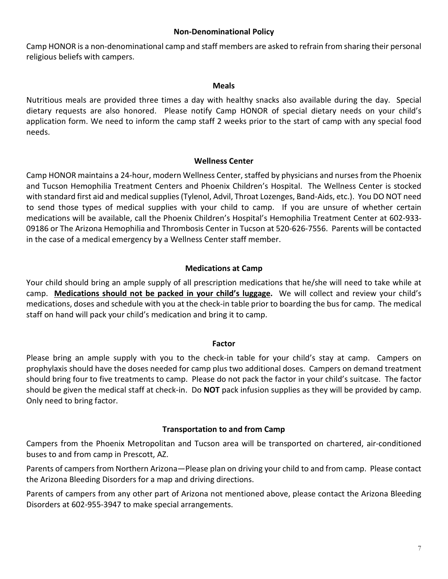# **Non-Denominational Policy**

Camp HONOR is a non-denominational camp and staff members are asked to refrain from sharing their personal religious beliefs with campers.

#### **Meals**

Nutritious meals are provided three times a day with healthy snacks also available during the day. Special dietary requests are also honored. Please notify Camp HONOR of special dietary needs on your child's application form. We need to inform the camp staff 2 weeks prior to the start of camp with any special food needs.

#### **Wellness Center**

Camp HONOR maintains a 24-hour, modern Wellness Center, staffed by physicians and nurses from the Phoenix and Tucson Hemophilia Treatment Centers and Phoenix Children's Hospital. The Wellness Center is stocked with standard first aid and medical supplies (Tylenol, Advil, Throat Lozenges, Band-Aids, etc.). You DO NOT need to send those types of medical supplies with your child to camp. If you are unsure of whether certain medications will be available, call the Phoenix Children's Hospital's Hemophilia Treatment Center at 602-933- 09186 or The Arizona Hemophilia and Thrombosis Center in Tucson at 520-626-7556. Parents will be contacted in the case of a medical emergency by a Wellness Center staff member.

# **Medications at Camp**

Your child should bring an ample supply of all prescription medications that he/she will need to take while at camp. **Medications should not be packed in your child's luggage.** We will collect and review your child's medications, doses and schedule with you at the check-in table prior to boarding the bus for camp. The medical staff on hand will pack your child's medication and bring it to camp.

#### **Factor**

Please bring an ample supply with you to the check-in table for your child's stay at camp. Campers on prophylaxis should have the doses needed for camp plus two additional doses. Campers on demand treatment should bring four to five treatments to camp. Please do not pack the factor in your child's suitcase. The factor should be given the medical staff at check-in. Do **NOT** pack infusion supplies as they will be provided by camp. Only need to bring factor.

# **Transportation to and from Camp**

Campers from the Phoenix Metropolitan and Tucson area will be transported on chartered, air-conditioned buses to and from camp in Prescott, AZ.

Parents of campers from Northern Arizona—Please plan on driving your child to and from camp. Please contact the Arizona Bleeding Disorders for a map and driving directions.

Parents of campers from any other part of Arizona not mentioned above, please contact the Arizona Bleeding Disorders at 602-955-3947 to make special arrangements.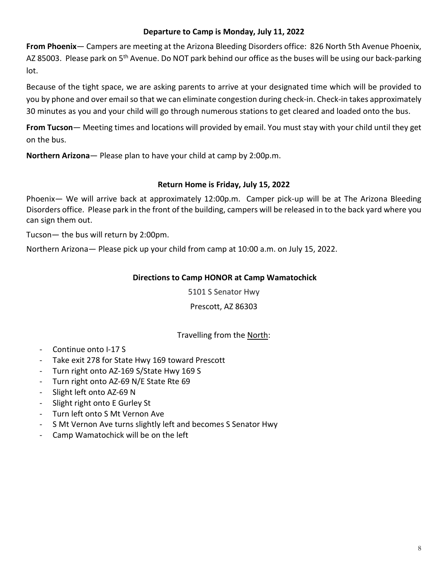# **Departure to Camp is Monday, July 11, 2022**

**From Phoenix**— Campers are meeting at the Arizona Bleeding Disorders office: 826 North 5th Avenue Phoenix, AZ 85003. Please park on 5<sup>th</sup> Avenue. Do NOT park behind our office as the buses will be using our back-parking lot.

Because of the tight space, we are asking parents to arrive at your designated time which will be provided to you by phone and over email so that we can eliminate congestion during check-in. Check-in takes approximately 30 minutes as you and your child will go through numerous stations to get cleared and loaded onto the bus.

**From Tucson**— Meeting times and locations will provided by email. You must stay with your child until they get on the bus.

**Northern Arizona**— Please plan to have your child at camp by 2:00p.m.

# **Return Home is Friday, July 15, 2022**

Phoenix— We will arrive back at approximately 12:00p.m. Camper pick-up will be at The Arizona Bleeding Disorders office. Please park in the front of the building, campers will be released in to the back yard where you can sign them out.

Tucson— the bus will return by 2:00pm.

Northern Arizona— Please pick up your child from camp at 10:00 a.m. on July 15, 2022.

# **Directions to Camp HONOR at Camp Wamatochick**

5101 S Senator Hwy

Prescott, AZ 86303

# Travelling from the North:

- Continue onto I-17 S
- Take exit 278 for State Hwy 169 toward Prescott
- Turn right onto AZ-169 S/State Hwy 169 S
- Turn right onto AZ-69 N/E State Rte 69
- Slight left onto AZ-69 N
- Slight right onto E Gurley St
- Turn left onto S Mt Vernon Ave
- S Mt Vernon Ave turns slightly left and becomes S Senator Hwy
- Camp Wamatochick will be on the left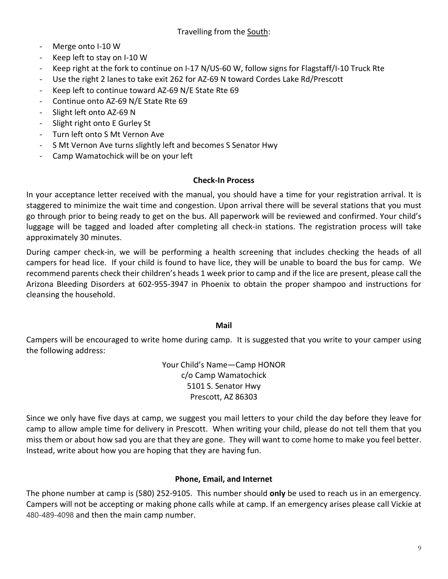- Merge onto I-10 W
- Keep left to stay on I-10 W
- Keep right at the fork to continue on I-17 N/US-60 W, follow signs for Flagstaff/I-10 Truck Rte
- Use the right 2 lanes to take exit 262 for AZ-69 N toward Cordes Lake Rd/Prescott
- Keep left to continue toward AZ-69 N/E State Rte 69
- Continue onto AZ-69 N/E State Rte 69
- Slight left onto AZ-69 N
- Slight right onto E Gurley St
- Turn left onto S Mt Vernon Ave
- S Mt Vernon Ave turns slightly left and becomes S Senator Hwy
- Camp Wamatochick will be on your left

# **Check-In Process**

In your acceptance letter received with the manual, you should have a time for your registration arrival. It is staggered to minimize the wait time and congestion. Upon arrival there will be several stations that you must go through prior to being ready to get on the bus. All paperwork will be reviewed and confirmed. Your child's luggage will be tagged and loaded after completing all check-in stations. The registration process will take approximately 30 minutes.

During camper check-in, we will be performing a health screening that includes checking the heads of all campers for head lice. If your child is found to have lice, they will be unable to board the bus for camp. We recommend parents check their children's heads 1 week prior to camp and if the lice are present, please call the Arizona Bleeding Disorders at 602-955-3947 in Phoenix to obtain the proper shampoo and instructions for cleansing the household.

# **Mail**

Campers will be encouraged to write home during camp. It is suggested that you write to your camper using the following address:

> Your Child's Name—Camp HONOR c/o Camp Wamatochick 5101 S. Senator Hwy Prescott, AZ 86303

Since we only have five days at camp, we suggest you mail letters to your child the day before they leave for camp to allow ample time for delivery in Prescott. When writing your child, please do not tell them that you miss them or about how sad you are that they are gone. They will want to come home to make you feel better. Instead, write about how you are hoping that they are having fun.

# **Phone, Email, and Internet**

The phone number at camp is [\(580\) 252-9105.](https://www.google.com/search?gs_ssp=eJzj4tZP1zcsSzE3LDFINmC0UjGosDA3Sk4xT0tMNkxJtUxMNbQCCpmZmySlmBlamhqbGRmbeAkkJ-YWKJQn5iaW5CdnZCZnAwCnJxR9&q=camp+wamatochick&rlz=1C1CHBD_enUS839US839&oq=camp+wamatoc&aqs=chrome.1.35i39i355j46i39i175i199j69i57j69i60l2.4810j0j7&sourceid=chrome&ie=UTF-8) This number should **only** be used to reach us in an emergency. Campers will not be accepting or making phone calls while at camp. If an emergency arises please call Vickie at 480-489-4098 and then the main camp number.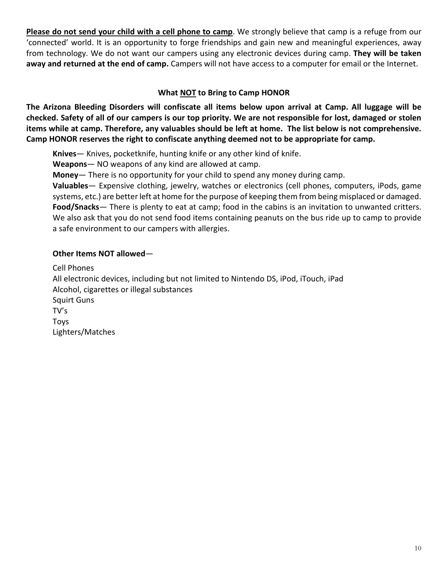**Please do not send your child with a cell phone to camp**. We strongly believe that camp is a refuge from our 'connected' world. It is an opportunity to forge friendships and gain new and meaningful experiences, away from technology. We do not want our campers using any electronic devices during camp. **They will be taken away and returned at the end of camp.** Campers will not have access to a computer for email or the Internet.

# **What NOT to Bring to Camp HONOR**

**The Arizona Bleeding Disorders will confiscate all items below upon arrival at Camp. All luggage will be checked. Safety of all of our campers is our top priority. We are not responsible for lost, damaged or stolen items while at camp. Therefore, any valuables should be left at home. The list below is not comprehensive. Camp HONOR reserves the right to confiscate anything deemed not to be appropriate for camp.** 

**Knives**— Knives, pocketknife, hunting knife or any other kind of knife.

**Weapons**— NO weapons of any kind are allowed at camp.

**Money**— There is no opportunity for your child to spend any money during camp.

**Valuables**— Expensive clothing, jewelry, watches or electronics (cell phones, computers, iPods, game systems, etc.) are better left at home for the purpose of keeping them from being misplaced or damaged. **Food/Snacks**— There is plenty to eat at camp; food in the cabins is an invitation to unwanted critters. We also ask that you do not send food items containing peanuts on the bus ride up to camp to provide a safe environment to our campers with allergies.

# **Other Items NOT allowed**—

Cell Phones All electronic devices, including but not limited to Nintendo DS, iPod, iTouch, iPad Alcohol, cigarettes or illegal substances Squirt Guns TV's Toys Lighters/Matches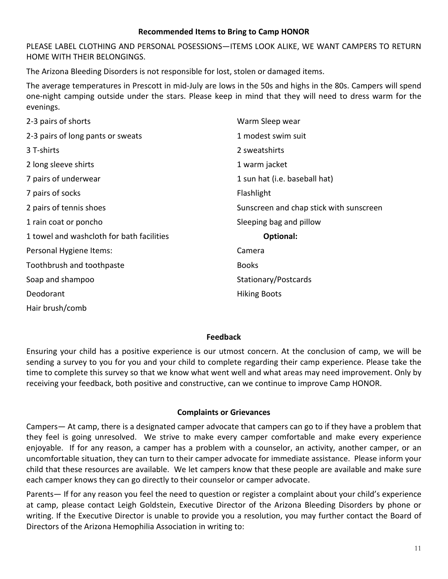# **Recommended Items to Bring to Camp HONOR**

PLEASE LABEL CLOTHING AND PERSONAL POSESSIONS—ITEMS LOOK ALIKE, WE WANT CAMPERS TO RETURN HOME WITH THEIR BELONGINGS.

The Arizona Bleeding Disorders is not responsible for lost, stolen or damaged items.

The average temperatures in Prescott in mid-July are lows in the 50s and highs in the 80s. Campers will spend one-night camping outside under the stars. Please keep in mind that they will need to dress warm for the evenings.

| 2-3 pairs of shorts                       | Warm Sleep wear                         |
|-------------------------------------------|-----------------------------------------|
| 2-3 pairs of long pants or sweats         | 1 modest swim suit                      |
| 3 T-shirts                                | 2 sweatshirts                           |
| 2 long sleeve shirts                      | 1 warm jacket                           |
| 7 pairs of underwear                      | 1 sun hat (i.e. baseball hat)           |
| 7 pairs of socks                          | Flashlight                              |
| 2 pairs of tennis shoes                   | Sunscreen and chap stick with sunscreen |
| 1 rain coat or poncho                     | Sleeping bag and pillow                 |
| 1 towel and washcloth for bath facilities | Optional:                               |
| Personal Hygiene Items:                   | Camera                                  |
| Toothbrush and toothpaste                 | <b>Books</b>                            |
| Soap and shampoo                          | Stationary/Postcards                    |
| Deodorant                                 | <b>Hiking Boots</b>                     |
| Hair brush/comb                           |                                         |

# **Feedback**

Ensuring your child has a positive experience is our utmost concern. At the conclusion of camp, we will be sending a survey to you for you and your child to complete regarding their camp experience. Please take the time to complete this survey so that we know what went well and what areas may need improvement. Only by receiving your feedback, both positive and constructive, can we continue to improve Camp HONOR.

# **Complaints or Grievances**

Campers— At camp, there is a designated camper advocate that campers can go to if they have a problem that they feel is going unresolved. We strive to make every camper comfortable and make every experience enjoyable. If for any reason, a camper has a problem with a counselor, an activity, another camper, or an uncomfortable situation, they can turn to their camper advocate for immediate assistance. Please inform your child that these resources are available. We let campers know that these people are available and make sure each camper knows they can go directly to their counselor or camper advocate.

Parents— If for any reason you feel the need to question or register a complaint about your child's experience at camp, please contact Leigh Goldstein, Executive Director of the Arizona Bleeding Disorders by phone or writing. If the Executive Director is unable to provide you a resolution, you may further contact the Board of Directors of the Arizona Hemophilia Association in writing to: